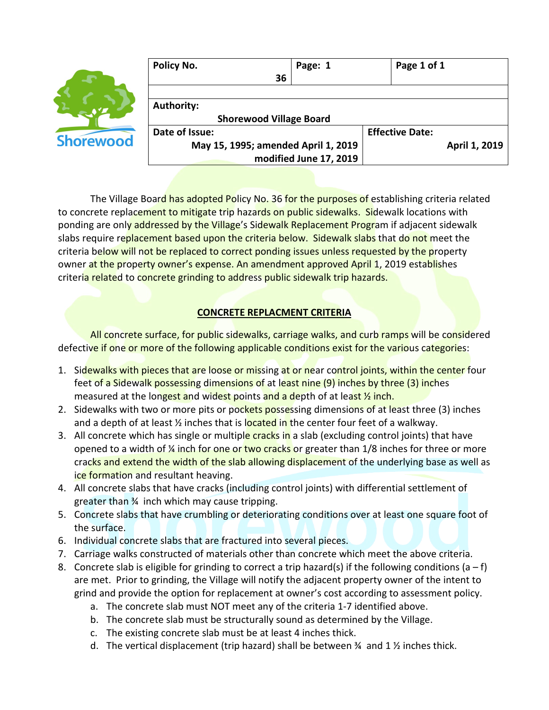

| Policy No.                          | Page: 1 |                        | Page 1 of 1   |  |
|-------------------------------------|---------|------------------------|---------------|--|
| 36                                  |         |                        |               |  |
|                                     |         |                        |               |  |
| <b>Authority:</b>                   |         |                        |               |  |
| <b>Shorewood Village Board</b>      |         |                        |               |  |
| Date of Issue:                      |         | <b>Effective Date:</b> |               |  |
| May 15, 1995; amended April 1, 2019 |         |                        | April 1, 2019 |  |
| modified June 17, 2019              |         |                        |               |  |

The Village Board has adopted Policy No. 36 for the purposes of establishing criteria related to concrete replacement to mitigate trip hazards on public sidewalks. Sidewalk locations with ponding are only addressed by the Village's Sidewalk Replacement Program if adjacent sidewalk slabs require replacement based upon the criteria below. Sidewalk slabs that do not meet the criteria below will not be replaced to correct ponding issues unless requested by the property owner at the property owner's expense. An amendment approved April 1, 2019 establishes criteria related to concrete grinding to address public sidewalk trip hazards.

## **CONCRETE REPLACMENT CRITERIA**

All concrete surface, for public sidewalks, carriage walks, and curb ramps will be considered defective if one or more of the following applicable conditions exist for the various categories:

- 1. Sidewalks with pieces that are loose or missing at or near control joints, within the center four feet of a Sidewalk possessing dimensions of at least nine (9) inches by three (3) inches measured at the longest and widest points and a depth of at least  $\frac{1}{2}$  inch.
- 2. Sidewalks with two or more pits or pockets possessing dimensions of at least three (3) inches and a depth of at least  $\frac{1}{2}$  inches that is located in the center four feet of a walkway.
- 3. All concrete which has single or multiple cracks in a slab (excluding control joints) that have opened to a width of  $\frac{1}{4}$  inch for one or two cracks or greater than 1/8 inches for three or more cracks and extend the width of the slab allowing displacement of the underlying base as well as ice formation and resultant heaving.
- 4. All concrete slabs that have cracks (including control joints) with differential settlement of greater than ¾ inch which may cause tripping.
- 5. Concrete slabs that have crumbling or deteriorating conditions over at least one square foot of the surface.
- 6. Individual concrete slabs that are fractured into several pieces.
- 7. Carriage walks constructed of materials other than concrete which meet the above criteria.
- 8. Concrete slab is eligible for grinding to correct a trip hazard(s) if the following conditions (a f) are met. Prior to grinding, the Village will notify the adjacent property owner of the intent to grind and provide the option for replacement at owner's cost according to assessment policy.
	- a. The concrete slab must NOT meet any of the criteria 1-7 identified above.
	- b. The concrete slab must be structurally sound as determined by the Village.
	- c. The existing concrete slab must be at least 4 inches thick.
	- d. The vertical displacement (trip hazard) shall be between  $\frac{3}{4}$  and 1  $\frac{1}{2}$  inches thick.